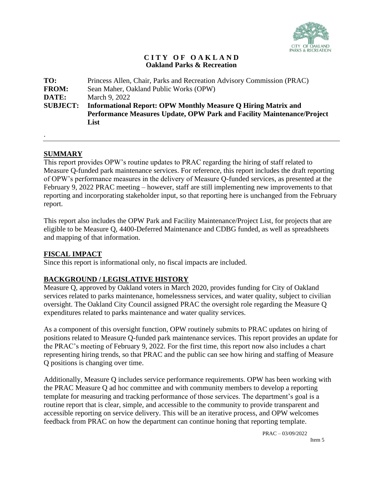

## **C I T Y O F O A K L A N D Oakland Parks & Recreation**

| Performance Measures Update, OPW Park and Facility Maintenance/Project |
|------------------------------------------------------------------------|
|                                                                        |
|                                                                        |

# **SUMMARY**

.

This report provides OPW's routine updates to PRAC regarding the hiring of staff related to Measure Q-funded park maintenance services. For reference, this report includes the draft reporting of OPW's performance measures in the delivery of Measure Q-funded services, as presented at the February 9, 2022 PRAC meeting – however, staff are still implementing new improvements to that reporting and incorporating stakeholder input, so that reporting here is unchanged from the February report.

This report also includes the OPW Park and Facility Maintenance/Project List, for projects that are eligible to be Measure Q, 4400-Deferred Maintenance and CDBG funded, as well as spreadsheets and mapping of that information.

# **FISCAL IMPACT**

Since this report is informational only, no fiscal impacts are included.

# **BACKGROUND / LEGISLATIVE HISTORY**

Measure Q, approved by Oakland voters in March 2020, provides funding for City of Oakland services related to parks maintenance, homelessness services, and water quality, subject to civilian oversight. The Oakland City Council assigned PRAC the oversight role regarding the Measure Q expenditures related to parks maintenance and water quality services.

As a component of this oversight function, OPW routinely submits to PRAC updates on hiring of positions related to Measure Q-funded park maintenance services. This report provides an update for the PRAC's meeting of February 9, 2022. For the first time, this report now also includes a chart representing hiring trends, so that PRAC and the public can see how hiring and staffing of Measure Q positions is changing over time.

Additionally, Measure Q includes service performance requirements. OPW has been working with the PRAC Measure Q ad hoc committee and with community members to develop a reporting template for measuring and tracking performance of those services. The department's goal is a routine report that is clear, simple, and accessible to the community to provide transparent and accessible reporting on service delivery. This will be an iterative process, and OPW welcomes feedback from PRAC on how the department can continue honing that reporting template.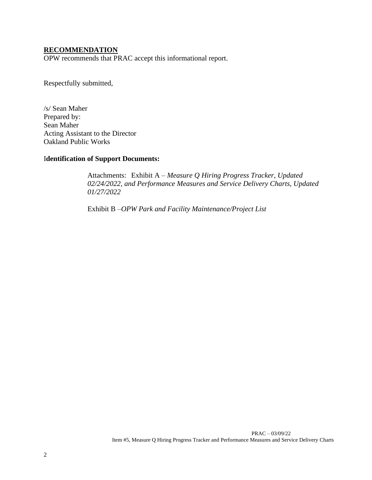## **RECOMMENDATION**

OPW recommends that PRAC accept this informational report.

Respectfully submitted,

/s/ Sean Maher Prepared by: Sean Maher Acting Assistant to the Director Oakland Public Works

# I**dentification of Support Documents:**

Attachments: Exhibit A – *Measure Q Hiring Progress Tracker, Updated 02/24/2022, and Performance Measures and Service Delivery Charts, Updated 01/27/2022*

Exhibit B –*OPW Park and Facility Maintenance/Project List*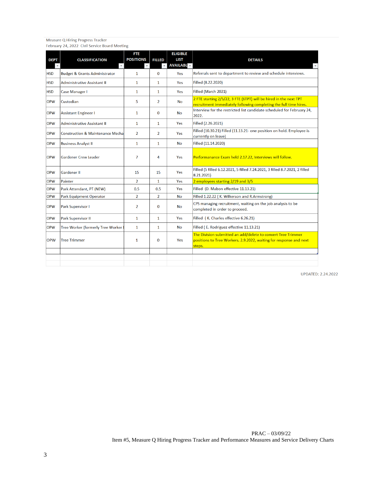Measure Q Hiring Progress Tracker<br>February 24, 2022 Civil Service Board Meeting

| <b>DEPT</b> | <b>CLASSIFICATION</b>                       | FTE<br><b>POSITIONS</b> | <b>FILLED</b>  | <b>ELIGIBLE</b><br><b>LIST</b><br><b>AVAILABL</b> | <b>DETAILS</b>                                                                                                                               |
|-------------|---------------------------------------------|-------------------------|----------------|---------------------------------------------------|----------------------------------------------------------------------------------------------------------------------------------------------|
| <b>HSD</b>  | <b>Budget &amp; Grants Administrator</b>    | $\mathbf{1}$            | $\mathbf{0}$   | Yes                                               | Referrals sent to department to review and schedule interviews.                                                                              |
| <b>HSD</b>  | <b>Administrative Assistant II</b>          | $\mathbf{1}$            | $\mathbf{1}$   | Yes                                               | Filled (8.22.2020)                                                                                                                           |
| <b>HSD</b>  | Case Manager I                              | $\mathbf{1}$            | $\mathbf{1}$   | Yes                                               | Filled (March 2021)                                                                                                                          |
| <b>OPW</b>  | Custodian                                   | 5                       | $\overline{2}$ | <b>No</b>                                         | 2 FTE starting 2/5/22, 3 FTE (6TPT) will be hired in the next TPT<br>recruitment immediately following completing the full time hires.       |
| <b>OPW</b>  | <b>Assistant Engineer I</b>                 | $\mathbf{1}$            | $\bf{0}$       | No                                                | Interview for the restricted list candidate scheduled for February 24,<br>2022.                                                              |
| <b>OPW</b>  | <b>Administrative Assistant II</b>          | $\mathbf{1}$            | $\mathbf{1}$   | Yes                                               | Filled (2.26.2021)                                                                                                                           |
| <b>OPW</b>  | <b>Construction &amp; Maintenance Mecha</b> | $\overline{2}$          | $\overline{2}$ | Yes                                               | Filled (10.30.21) Filled (11.13.21- one position on hold. Employee is<br>currently on leave)                                                 |
| <b>OPW</b>  | <b>Business Analyst II</b>                  | $\mathbf{1}$            | $\mathbf{1}$   | No                                                | Filled (11.14.2020)                                                                                                                          |
| <b>OPW</b>  | <b>Gardener Crew Leader</b>                 | 7                       | 4              | Yes                                               | Performanance Exam held 2.17.22, Interviews will follow.                                                                                     |
| <b>OPW</b>  | <b>Gardener II</b>                          | 15                      | 15             | Yes                                               | Filled (5 filled 6.12.2021, 5 filled 7.24.2021, 3 filled 8.7.2021, 2 filled<br>8.21.2021)                                                    |
| <b>OPW</b>  | <b>Painter</b>                              | $\overline{2}$          | $\mathbf{1}$   | Yes                                               | 2 employees starting 2/19 and 3/5                                                                                                            |
| <b>OPW</b>  | Park Attendant, PT (NEW)                    | 0.5                     | 0.5            | Yes                                               | Filled (D. Mabon effective 11.13.21)                                                                                                         |
| <b>OPW</b>  | <b>Park Equipment Operator</b>              | $\overline{2}$          | $\overline{2}$ | <b>No</b>                                         | Filled 1.22.22 (K. Wilkerson and R.Armstrong)                                                                                                |
| <b>OPW</b>  | Park Supervisor I                           | $\overline{2}$          | $\bf{0}$       | No                                                | CPS managing recruitment, waiting on the job analysis to be<br>completed in order to proceed.                                                |
| <b>OPW</b>  | Park Supervisor II                          | $\mathbf{1}$            | $\mathbf{1}$   | Yes                                               | Filled (K. Charles effective 6.26.21)                                                                                                        |
| <b>OPW</b>  | Tree Worker (formerly Tree Worker           | $\mathbf{1}$            | $\mathbf{1}$   | No                                                | Filled (E. Rodriguez effective 11.13.21)                                                                                                     |
| <b>OPW</b>  | <b>Tree Trimmer</b>                         | 1                       | $\bf{0}$       | Yes                                               | The Division submitted an add/delete to convert Tree Trimmer<br>positions to Tree Workers. 2.9.2022, waiting for response and next<br>steps. |
|             |                                             |                         |                |                                                   |                                                                                                                                              |

**UPDATED: 2.24.2022**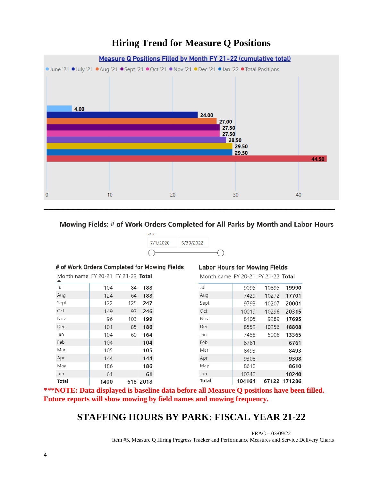# **Hiring Trend for Measure Q Positions**



## Mowing Fields: # of Work Orders Completed for All Parks by Month and Labor Hours



### # of Work Orders Completed for Mowing Fields

| Month name FY 20-21 FY 21-22 <b>Total</b> |      |     |          |
|-------------------------------------------|------|-----|----------|
| Jul                                       | 104  | 84  | 188      |
| Aug                                       | 124  | 64  | 188      |
| Sept                                      | 122  | 125 | 247      |
| Oct                                       | 149  | 97  | 246      |
| Nov                                       | 96   | 103 | 199      |
| Dec                                       | 101  | 85  | 186      |
| Jan                                       | 104  | 60  | 164      |
| Feb                                       | 104  |     | 104      |
| Mar                                       | 105  |     | 105      |
| Apr                                       | 144  |     | 144      |
| May                                       | 186  |     | 186      |
| Jun                                       | 61   |     | 61       |
| <b>Total</b>                              | 1400 |     | 618 2018 |

#### **Labor Hours for Mowing Fields**

Month name FY 20-21 FY 21-22 Total

| Jul   | 9095   | 10895 | 19990        |
|-------|--------|-------|--------------|
| Aug   | 7429   | 10272 | 17701        |
| Sept  | 9793   | 10207 | 20001        |
| Oct   | 10019  | 10296 | 20315        |
| Nov   | 8405   | 9289  | 17695        |
| Dec   | 8552   | 10256 | 18808        |
| Jan   | 7458   | 5906  | 13365        |
| Feb   | 6761   |       | 6761         |
| Mar   | 8493   |       | 8493         |
| Apr   | 9308   |       | 9308         |
| May   | 8610   |       | 8610         |
| Jun   | 10240  |       | 10240        |
| Total | 104164 |       | 67122 171286 |

**\*\*\*NOTE: Data displayed is baseline data before all Measure Q positions have been filled. Future reports will show mowing by field names and mowing frequency.**

# **STAFFING HOURS BY PARK: FISCAL YEAR 21-22**

 PRAC – 03/09/22 Item #5, Measure Q Hiring Progress Tracker and Performance Measures and Service Delivery Charts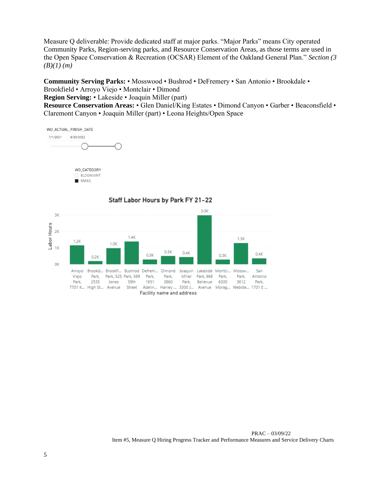Measure Q deliverable: Provide dedicated staff at major parks. "Major Parks" means City operated Community Parks, Region-serving parks, and Resource Conservation Areas, as those terms are used in the Open Space Conservation & Recreation (OCSAR) Element of the Oakland General Plan." *Section (3 (B)(1) (m)* 

**Community Serving Parks:** • Mosswood • Bushrod • DeFremery • San Antonio • Brookdale • Brookfield • Arroyo Viejo • Montclair • Dimond

**Region Serving:** • Lakeside • Joaquin Miller (part)

**Resource Conservation Areas:** • Glen Daniel/King Estates • Dimond Canyon • Garber • Beaconsfield • Claremont Canyon • Joaquin Miller (part) • Leona Heights/Open Space

WO\_ACTUAL\_FINISH\_DATE 6/30/2022 7/1/2021





### Staff Labor Hours by Park FY 21-22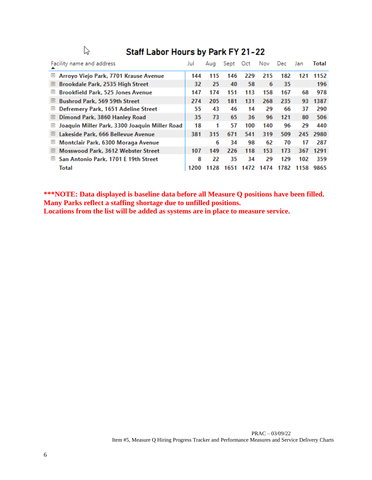| Staff Labor Hours by Park FY 21-22<br>r2                            |      |      |      |      |      |      |      |       |
|---------------------------------------------------------------------|------|------|------|------|------|------|------|-------|
| Facility name and address                                           | Jul  | Aug  | Sept | Oct  | Nov  | Dec  | Jan  | Total |
| Œ<br>Arroyo Viejo Park, 7701 Krause Avenue                          | 144  | 115  | 146  | 229  | 215  | 182  | 121  | 1152  |
| Brookdale Park, 2535 High Street<br>⊞                               | 32   | 25   | 40   | 58   | 6    | 35   |      | 196   |
| <b>Brookfield Park, 525 Jones Avenue</b><br>$\left  + \right $      | 147  | 174  | 151  | 113  | 158  | 167  | 68   | 978   |
| <b>Bushrod Park, 569 59th Street</b><br>⊞                           | 274  | 205  | 181  | 131  | 268  | 235  | 93   | 1387  |
| Defremery Park, 1651 Adeline Street<br>Œ                            | 55   | 43   | 46   | 14   | 29   | 66   | 37   | 290   |
| Dimond Park, 3860 Hanley Road<br>⊞                                  | 35   | 73   | 65   | 36   | 96   | 121  | 80   | 506   |
| Joaquin Miller Park, 3300 Joaquin Miller Road<br>$\left  + \right $ | 18   | 1    | 57   | 100  | 140  | 96   | 29   | 440   |
| Lakeside Park, 666 Bellevue Avenue<br>Œ                             | 381  | 315  | 671  | 541  | 319  | 509  | 245  | 2980  |
| Montclair Park, 6300 Moraga Avenue<br>$\mathbb H$                   |      | 6    | 34   | 98   | 62   | 70   | 17   | 287   |
| Mosswood Park, 3612 Webster Street<br>⊞                             | 107  | 149  | 226  | 118  | 153  | 173  | 367  | 1291  |
| San Antonio Park, 1701 E 19th Street<br>$\left  + \right $          | 8    | 22   | 35   | 34   | 29   | 129  | 102  | 359   |
| Total                                                               | 1200 | 1128 | 1651 | 1472 | 1474 | 1782 | 1158 | 9865  |

# Staff Labor Hours by Park FY 21-22

**\*\*\*NOTE: Data displayed is baseline data before all Measure Q positions have been filled. Many Parks reflect a staffing shortage due to unfilled positions. Locations from the list will be added as systems are in place to measure service.**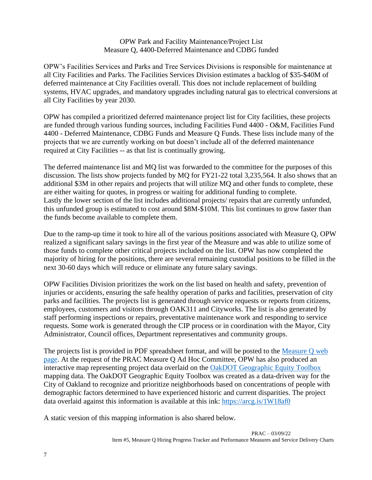# OPW Park and Facility Maintenance/Project List Measure Q, 4400-Deferred Maintenance and CDBG funded

OPW's Facilities Services and Parks and Tree Services Divisions is responsible for maintenance at all City Facilities and Parks. The Facilities Services Division estimates a backlog of \$35-\$40M of deferred maintenance at City Facilities overall. This does not include replacement of building systems, HVAC upgrades, and mandatory upgrades including natural gas to electrical conversions at all City Facilities by year 2030.

OPW has compiled a prioritized deferred maintenance project list for City facilities, these projects are funded through various funding sources, including Facilities Fund 4400 - O&M, Facilities Fund 4400 - Deferred Maintenance, CDBG Funds and Measure Q Funds. These lists include many of the projects that we are currently working on but doesn't include all of the deferred maintenance required at City Facilities -- as that list is continually growing.

The deferred maintenance list and MQ list was forwarded to the committee for the purposes of this discussion. The lists show projects funded by MQ for FY21-22 total 3,235,564. It also shows that an additional \$3M in other repairs and projects that will utilize MQ and other funds to complete, these are either waiting for quotes, in progress or waiting for additional funding to complete. Lastly the lower section of the list includes additional projects/ repairs that are currently unfunded, this unfunded group is estimated to cost around \$8M-\$10M. This list continues to grow faster than the funds become available to complete them.

Due to the ramp-up time it took to hire all of the various positions associated with Measure Q, OPW realized a significant salary savings in the first year of the Measure and was able to utilize some of those funds to complete other critical projects included on the list. OPW has now completed the majority of hiring for the positions, there are several remaining custodial positions to be filled in the next 30-60 days which will reduce or eliminate any future salary savings.

OPW Facilities Division prioritizes the work on the list based on health and safety, prevention of injuries or accidents, ensuring the safe healthy operation of parks and facilities, preservation of city parks and facilities. The projects list is generated through service requests or reports from citizens, employees, customers and visitors through OAK311 and Cityworks. The list is also generated by staff performing inspections or repairs, preventative maintenance work and responding to service requests. Some work is generated through the CIP process or in coordination with the Mayor, City Administrator, Council offices, Department representatives and community groups.

The projects list is provided in PDF spreadsheet format, and will be posted to the [Measure Q web](https://www.oaklandca.gov/topics/measure-q) [page.](https://www.oaklandca.gov/topics/measure-q) At the request of the PRAC Measure Q Ad Hoc Committee, OPW has also produced an interactive map representing project data overlaid on the [OakDOT Geographic Equity Toolbox](https://www.oaklandca.gov/resources/oakdot-geographic-equity-toolbox) mapping data. The OakDOT Geographic Equity Toolbox was created as a data-driven way for the City of Oakland to recognize and prioritize neighborhoods based on concentrations of people with demographic factors determined to have experienced historic and current disparities. The project data overlaid against this information is available at this ink:<https://arcg.is/1W18af0>

A static version of this mapping information is also shared below.